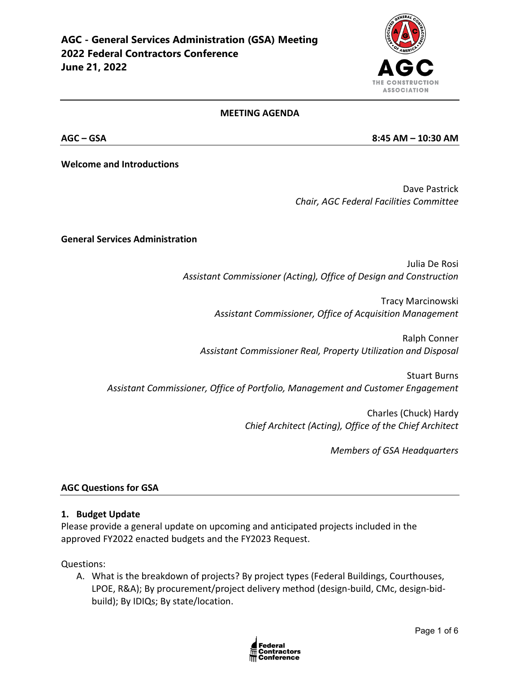

#### **MEETING AGENDA**

**AGC – GSA 8:45 AM – 10:30 AM** 

**Welcome and Introductions**

Dave Pastrick *Chair, AGC Federal Facilities Committee*

**General Services Administration**

Julia De Rosi *Assistant Commissioner (Acting), Office of Design and Construction*

> Tracy Marcinowski *Assistant Commissioner, Office of Acquisition Management*

Ralph Conner *Assistant Commissioner Real, Property Utilization and Disposal*

Stuart Burns *Assistant Commissioner, Office of Portfolio, Management and Customer Engagement*

> Charles (Chuck) Hardy *Chief Architect (Acting), Office of the Chief Architect*

> > *Members of GSA Headquarters*

#### **AGC Questions for GSA**

#### **1. Budget Update**

Please provide a general update on upcoming and anticipated projects included in the approved FY2022 enacted budgets and the FY2023 Request.

Questions:

A. What is the breakdown of projects? By project types (Federal Buildings, Courthouses, LPOE, R&A); By procurement/project delivery method (design-build, CMc, design-bidbuild); By IDIQs; By state/location.

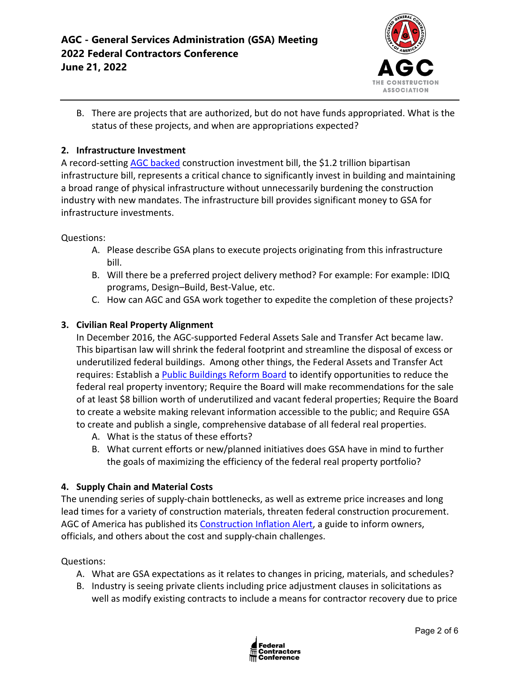

B. There are projects that are authorized, but do not have funds appropriated. What is the status of these projects, and when are appropriations expected?

### **2. Infrastructure Investment**

A record-setting [AGC backed](https://www.agc.org/news/2021/11/18/agc-backed-bipartisan-infrastructure-signed-law) construction investment bill, the \$1.2 trillion bipartisan infrastructure bill, represents a critical chance to significantly invest in building and maintaining a broad range of physical infrastructure without unnecessarily burdening the construction industry with new mandates. The infrastructure bill provides significant money to GSA for infrastructure investments.

#### Questions:

- A. Please describe GSA plans to execute projects originating from this infrastructure bill.
- B. Will there be a preferred project delivery method? For example: For example: IDIQ programs, Design–Build, Best-Value, etc.
- C. How can AGC and GSA work together to expedite the completion of these projects?

### **3. Civilian Real Property Alignment**

In December 2016, the AGC-supported Federal Assets Sale and Transfer Act became law. This bipartisan law will shrink the federal footprint and streamline the disposal of excess or underutilized federal buildings. Among other things, the Federal Assets and Transfer Act requires: Establish [a Public Buildings Reform Board](https://www.pbrb.gov/) to identify opportunities to reduce the federal real property inventory; Require the Board will make recommendations for the sale of at least \$8 billion worth of underutilized and vacant federal properties; Require the Board to create a website making relevant information accessible to the public; and Require GSA to create and publish a single, comprehensive database of all federal real properties.

- A. What is the status of these efforts?
- B. What current efforts or new/planned initiatives does GSA have in mind to further the goals of maximizing the efficiency of the federal real property portfolio?

#### **4. Supply Chain and Material Costs**

The unending series of supply-chain bottlenecks, as well as extreme price increases and long lead times for a variety of construction materials, threaten federal construction procurement. AGC of America has published its [Construction Inflation Alert,](https://www.agc.org/learn/construction-data/agc-construction-inflation-alert) a guide to inform owners, officials, and others about the cost and supply-chain challenges.

#### Questions:

- A. What are GSA expectations as it relates to changes in pricing, materials, and schedules?
- B. Industry is seeing private clients including price adjustment clauses in solicitations as well as modify existing contracts to include a means for contractor recovery due to price

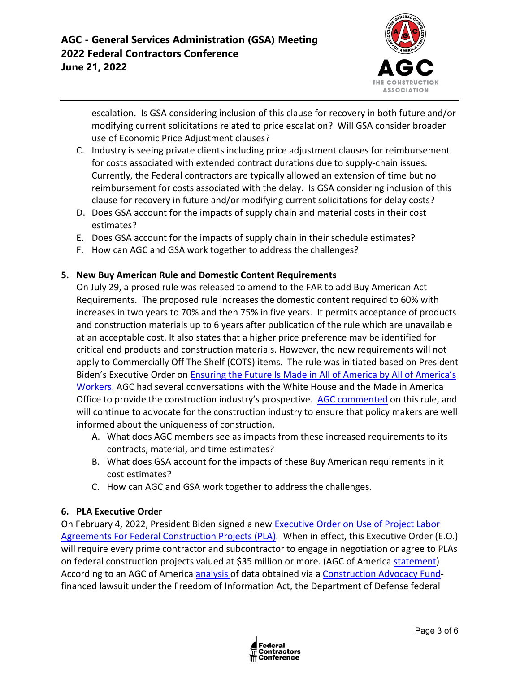

escalation. Is GSA considering inclusion of this clause for recovery in both future and/or modifying current solicitations related to price escalation? Will GSA consider broader use of Economic Price Adjustment clauses?

- C. Industry is seeing private clients including price adjustment clauses for reimbursement for costs associated with extended contract durations due to supply-chain issues. Currently, the Federal contractors are typically allowed an extension of time but no reimbursement for costs associated with the delay. Is GSA considering inclusion of this clause for recovery in future and/or modifying current solicitations for delay costs?
- D. Does GSA account for the impacts of supply chain and material costs in their cost estimates?
- E. Does GSA account for the impacts of supply chain in their schedule estimates?
- F. How can AGC and GSA work together to address the challenges?

## **5. New Buy American Rule and Domestic Content Requirements**

On July 29, a prosed rule was released to amend to the FAR to add Buy American Act Requirements. The proposed rule increases the domestic content required to 60% with increases in two years to 70% and then 75% in five years. It permits acceptance of products and construction materials up to 6 years after publication of the rule which are unavailable at an acceptable cost. It also states that a higher price preference may be identified for critical end products and construction materials. However, the new requirements will not apply to Commercially Off The Shelf (COTS) items. The rule was initiated based on President Biden's Executive Order on [Ensuring the Future Is Made in All of America by All of America's](https://www.whitehouse.gov/briefing-room/presidential-actions/2021/01/25/executive-order-on-ensuring-the-future-is-made-in-all-of-america-by-all-of-americas-workers/)  [Workers.](https://www.whitehouse.gov/briefing-room/presidential-actions/2021/01/25/executive-order-on-ensuring-the-future-is-made-in-all-of-america-by-all-of-americas-workers/) AGC had several conversations with the White House and the Made in America Office to provide the construction industry's prospective. [AGC commented](https://www.regulations.gov/comment/FAR-2021-0008-0008) on this rule, and will continue to advocate for the construction industry to ensure that policy makers are well informed about the uniqueness of construction.

- A. What does AGC members see as impacts from these increased requirements to its contracts, material, and time estimates?
- B. What does GSA account for the impacts of these Buy American requirements in it cost estimates?
- C. How can AGC and GSA work together to address the challenges.

## **6. PLA Executive Order**

On February 4, 2022, President Biden signed a new [Executive Order on Use of Project Labor](https://nam12.safelinks.protection.outlook.com/?url=https%3A%2F%2Fwww.whitehouse.gov%2Fbriefing-room%2Fpresidential-actions%2F2022%2F02%2F04%2Fexecutive-order-on-use-of-project-labor-agreements-for-federal-construction-projects%2F&data=04%7C01%7Cjimmy.christianson%40agc.org%7C9a54ffe1775c4b33b2e708d9e8301d61%7C4602d740c1bb4d33b33a435efb6aa1bd%7C0%7C0%7C637796115617974723%7CUnknown%7CTWFpbGZsb3d8eyJWIjoiMC4wLjAwMDAiLCJQIjoiV2luMzIiLCJBTiI6Ik1haWwiLCJXVCI6Mn0%3D%7C3000&sdata=3UwKG%2FHFXcoGKt%2B802izNRlIVSQtUbx7E4yOMXgBSQs%3D&reserved=0)  [Agreements For Federal Construction Projects \(PLA\).](https://nam12.safelinks.protection.outlook.com/?url=https%3A%2F%2Fwww.whitehouse.gov%2Fbriefing-room%2Fpresidential-actions%2F2022%2F02%2F04%2Fexecutive-order-on-use-of-project-labor-agreements-for-federal-construction-projects%2F&data=04%7C01%7Cjimmy.christianson%40agc.org%7C9a54ffe1775c4b33b2e708d9e8301d61%7C4602d740c1bb4d33b33a435efb6aa1bd%7C0%7C0%7C637796115617974723%7CUnknown%7CTWFpbGZsb3d8eyJWIjoiMC4wLjAwMDAiLCJQIjoiV2luMzIiLCJBTiI6Ik1haWwiLCJXVCI6Mn0%3D%7C3000&sdata=3UwKG%2FHFXcoGKt%2B802izNRlIVSQtUbx7E4yOMXgBSQs%3D&reserved=0) When in effect, this Executive Order (E.O.) will require every prime contractor and subcontractor to engage in negotiation or agree to PLAs on federal construction projects valued at \$35 million or more. (AGC of America [statement\)](https://www.agc.org/news/2022/02/04/biden-order-imposing-project-labor-agreements-federal-projects-will-inflate-construction-costs) According to an AGC of America [analysis o](https://www.agc.org/sites/default/files/Files/communications/New_Data_Weighs_on_Debate_Over_Project_Labor_Agreements.pdf)f data obtained via a [Construction Advocacy Fund](https://constructionadvocacyfund.agc.org/?_zs=3Onnc1&_zl=qrBB8)financed lawsuit under the Freedom of Information Act, the Department of Defense federal

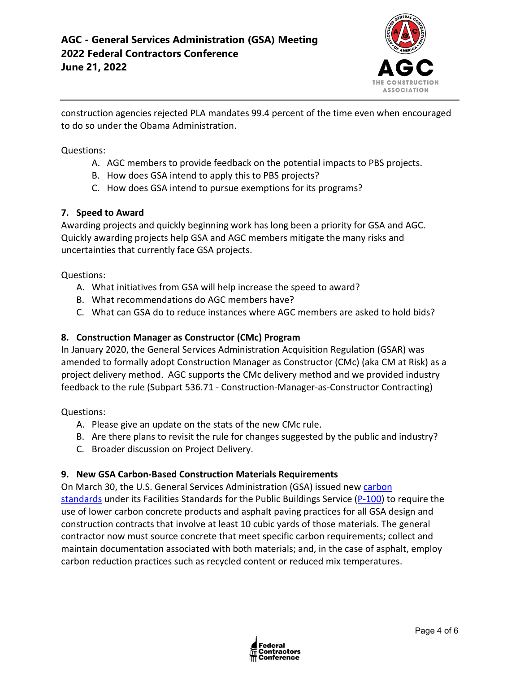

construction agencies rejected PLA mandates 99.4 percent of the time even when encouraged to do so under the Obama Administration.

Questions:

- A. AGC members to provide feedback on the potential impacts to PBS projects.
- B. How does GSA intend to apply this to PBS projects?
- C. How does GSA intend to pursue exemptions for its programs?

## **7. Speed to Award**

Awarding projects and quickly beginning work has long been a priority for GSA and AGC. Quickly awarding projects help GSA and AGC members mitigate the many risks and uncertainties that currently face GSA projects.

Questions:

- A. What initiatives from GSA will help increase the speed to award?
- B. What recommendations do AGC members have?
- C. What can GSA do to reduce instances where AGC members are asked to hold bids?

## **8. Construction Manager as Constructor (CMc) Program**

In January 2020, the General Services Administration Acquisition Regulation (GSAR) was amended to formally adopt Construction Manager as Constructor (CMc) (aka CM at Risk) as a project delivery method. AGC supports the CMc delivery method and we provided industry feedback to the rule (Subpart 536.71 - Construction-Manager-as-Constructor Contracting)

Questions:

- A. Please give an update on the stats of the new CMc rule.
- B. Are there plans to revisit the rule for changes suggested by the public and industry?
- C. Broader discussion on Project Delivery.

# **9. New GSA Carbon-Based Construction Materials Requirements**

On March 30, the U.S. General Services Administration (GSA) issued new [carbon](https://www.gsa.gov/real-estate/design-and-construction/engineering-and-architecture/facilities-standards-p100-overview)  [standards](https://www.gsa.gov/real-estate/design-and-construction/engineering-and-architecture/facilities-standards-p100-overview) under its Facilities Standards for the Public Buildings Service [\(P-100\)](https://www.gsa.gov/real-estate/design-and-construction/engineering-and-architecture/facilities-standards-p100-overview) to require the use of lower carbon concrete products and asphalt paving practices for all GSA design and construction contracts that involve at least 10 cubic yards of those materials. The general contractor now must source concrete that meet specific carbon requirements; collect and maintain documentation associated with both materials; and, in the case of asphalt, employ carbon reduction practices such as recycled content or reduced mix temperatures.

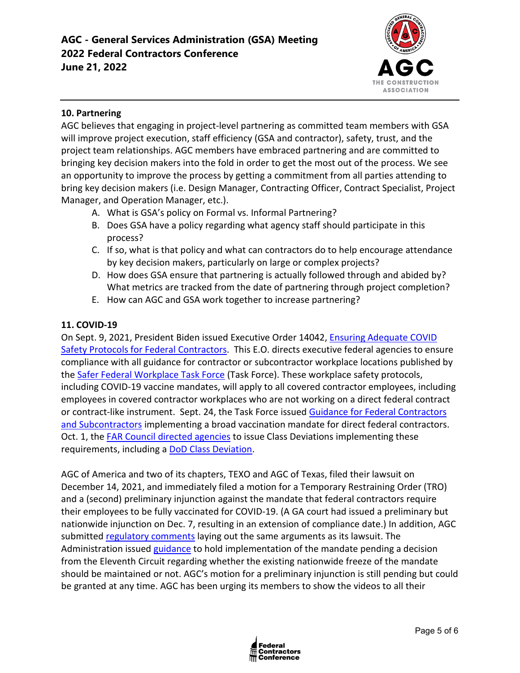

## **10. Partnering**

AGC believes that engaging in project-level partnering as committed team members with GSA will improve project execution, staff efficiency (GSA and contractor), safety, trust, and the project team relationships. AGC members have embraced partnering and are committed to bringing key decision makers into the fold in order to get the most out of the process. We see an opportunity to improve the process by getting a commitment from all parties attending to bring key decision makers (i.e. Design Manager, Contracting Officer, Contract Specialist, Project Manager, and Operation Manager, etc.).

- A. What is GSA's policy on Formal vs. Informal Partnering?
- B. Does GSA have a policy regarding what agency staff should participate in this process?
- C. If so, what is that policy and what can contractors do to help encourage attendance by key decision makers, particularly on large or complex projects?
- D. How does GSA ensure that partnering is actually followed through and abided by? What metrics are tracked from the date of partnering through project completion?
- E. How can AGC and GSA work together to increase partnering?

### **11. COVID-19**

On Sept. 9, 2021, President Biden issued Executive Order 14042, [Ensuring Adequate COVID](https://www.whitehouse.gov/briefing-room/presidential-actions/2021/09/09/executive-order-on-ensuring-adequate-covid-safety-protocols-for-federal-contractors/)  [Safety Protocols for Federal Contractors.](https://www.whitehouse.gov/briefing-room/presidential-actions/2021/09/09/executive-order-on-ensuring-adequate-covid-safety-protocols-for-federal-contractors/) This E.O. directs executive federal agencies to ensure compliance with all guidance for contractor or subcontractor workplace locations published by the [Safer Federal Workplace Task Force](https://www.saferfederalworkforce.gov/new/) (Task Force). These workplace safety protocols, including COVID-19 vaccine mandates, will apply to all covered contractor employees, including employees in covered contractor workplaces who are not working on a direct federal contract or contract-like instrument. Sept. 24, the Task Force issued [Guidance for Federal Contractors](https://www.saferfederalworkforce.gov/downloads/Draft%20contractor%20guidance%20doc_20210922.pdf)  [and Subcontractors](https://www.saferfederalworkforce.gov/downloads/Draft%20contractor%20guidance%20doc_20210922.pdf) implementing a broad vaccination mandate for direct federal contractors. Oct. 1, the [FAR Council directed agencies](https://www.saferfederalworkforce.gov/contractors/) to issue Class Deviations implementing these requirements, including a [DoD Class Deviation.](https://www.acq.osd.mil/dpap/policy/policyvault/USA001998-21-DPC.pdf)

AGC of America and two of its chapters, TEXO and AGC of Texas, filed their lawsuit on December 14, 2021, and immediately filed a motion for a Temporary Restraining Order (TRO) and a (second) preliminary injunction against the mandate that federal contractors require their employees to be fully vaccinated for COVID-19. (A GA court had issued a preliminary but nationwide injunction on Dec. 7, resulting in an extension of compliance date.) In addition, AGC submitted [regulatory comments](https://www.regulations.gov/comment/OMB-2021-0007-3355) laying out the same arguments as its lawsuit. The Administration issued [guidance](https://www.saferfederalworkforce.gov/contractors/) to hold implementation of the mandate pending a decision from the Eleventh Circuit regarding whether the existing nationwide freeze of the mandate should be maintained or not. AGC's motion for a preliminary injunction is still pending but could be granted at any time. AGC has been urging its members to show the videos to all their